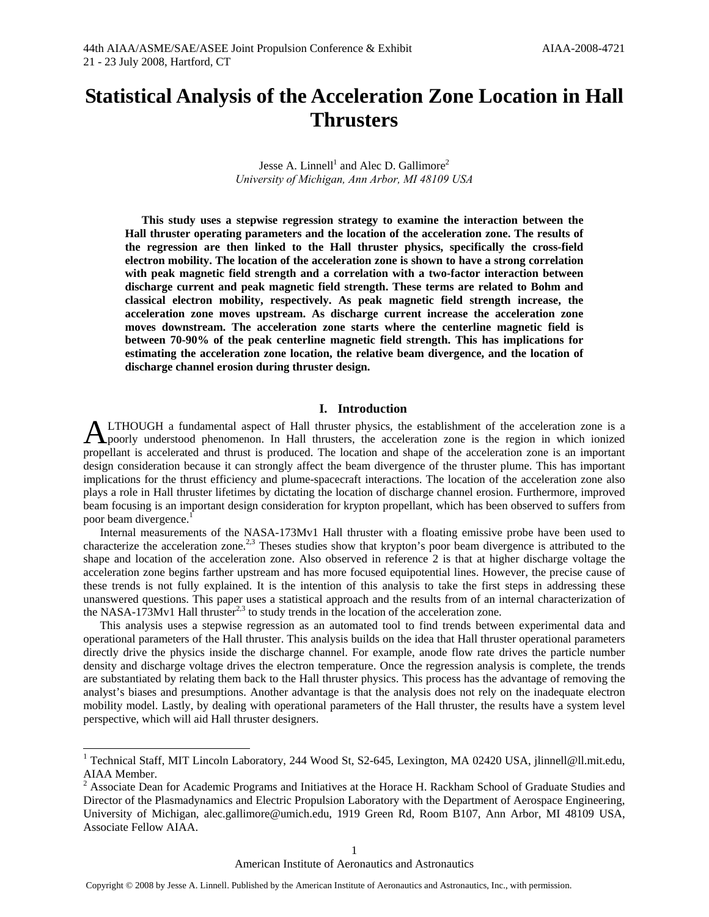# **Statistical Analysis of the Acceleration Zone Location in Hall Thrusters**

Jesse A. Linnell<sup>1</sup> and Alec D. Gallimore<sup>2</sup> *University of Michigan, Ann Arbor, MI 48109 USA* 

**This study uses a stepwise regression strategy to examine the interaction between the Hall thruster operating parameters and the location of the acceleration zone. The results of the regression are then linked to the Hall thruster physics, specifically the cross-field electron mobility. The location of the acceleration zone is shown to have a strong correlation with peak magnetic field strength and a correlation with a two-factor interaction between discharge current and peak magnetic field strength. These terms are related to Bohm and classical electron mobility, respectively. As peak magnetic field strength increase, the acceleration zone moves upstream. As discharge current increase the acceleration zone moves downstream. The acceleration zone starts where the centerline magnetic field is between 70-90% of the peak centerline magnetic field strength. This has implications for estimating the acceleration zone location, the relative beam divergence, and the location of discharge channel erosion during thruster design.** 

# **I. Introduction**

LTHOUGH a fundamental aspect of Hall thruster physics, the establishment of the acceleration zone is a **ALTHOUGH** a fundamental aspect of Hall thruster physics, the establishment of the acceleration zone is a poorly understood phenomenon. In Hall thrusters, the acceleration zone is the region in which ionized propellant is accelerated and thrust is produced. The location and shape of the acceleration zone is an important design consideration because it can strongly affect the beam divergence of the thruster plume. This has important implications for the thrust efficiency and plume-spacecraft interactions. The location of the acceleration zone also plays a role in Hall thruster lifetimes by dictating the location of discharge channel erosion. Furthermore, improved beam focusing is an important design consideration for krypton propellant, which has been observed to suffers from poor beam divergence.<sup>1</sup>

Internal measurements of the NASA-173Mv1 Hall thruster with a floating emissive probe have been used to characterize the acceleration zone.<sup>2,3</sup> Theses studies show that krypton's poor beam divergence is attributed to the shape and location of the acceleration zone. Also observed in reference 2 is that at higher discharge voltage the acceleration zone begins farther upstream and has more focused equipotential lines. However, the precise cause of these trends is not fully explained. It is the intention of this analysis to take the first steps in addressing these unanswered questions. This paper uses a statistical approach and the results from of an internal characterization of the NASA-173Mv1 Hall thruster<sup>2,3</sup> to study trends in the location of the acceleration zone.

This analysis uses a stepwise regression as an automated tool to find trends between experimental data and operational parameters of the Hall thruster. This analysis builds on the idea that Hall thruster operational parameters directly drive the physics inside the discharge channel. For example, anode flow rate drives the particle number density and discharge voltage drives the electron temperature. Once the regression analysis is complete, the trends are substantiated by relating them back to the Hall thruster physics. This process has the advantage of removing the analyst's biases and presumptions. Another advantage is that the analysis does not rely on the inadequate electron mobility model. Lastly, by dealing with operational parameters of the Hall thruster, the results have a system level perspective, which will aid Hall thruster designers.

l

<sup>&</sup>lt;sup>1</sup> Technical Staff, MIT Lincoln Laboratory, 244 Wood St, S2-645, Lexington, MA 02420 USA, jlinnell@ll.mit.edu, AIAA Member.

<sup>&</sup>lt;sup>2</sup> Associate Dean for Academic Programs and Initiatives at the Horace H. Rackham School of Graduate Studies and Director of the Plasmadynamics and Electric Propulsion Laboratory with the Department of Aerospace Engineering, University of Michigan, alec.gallimore@umich.edu, 1919 Green Rd, Room B107, Ann Arbor, MI 48109 USA, Associate Fellow AIAA.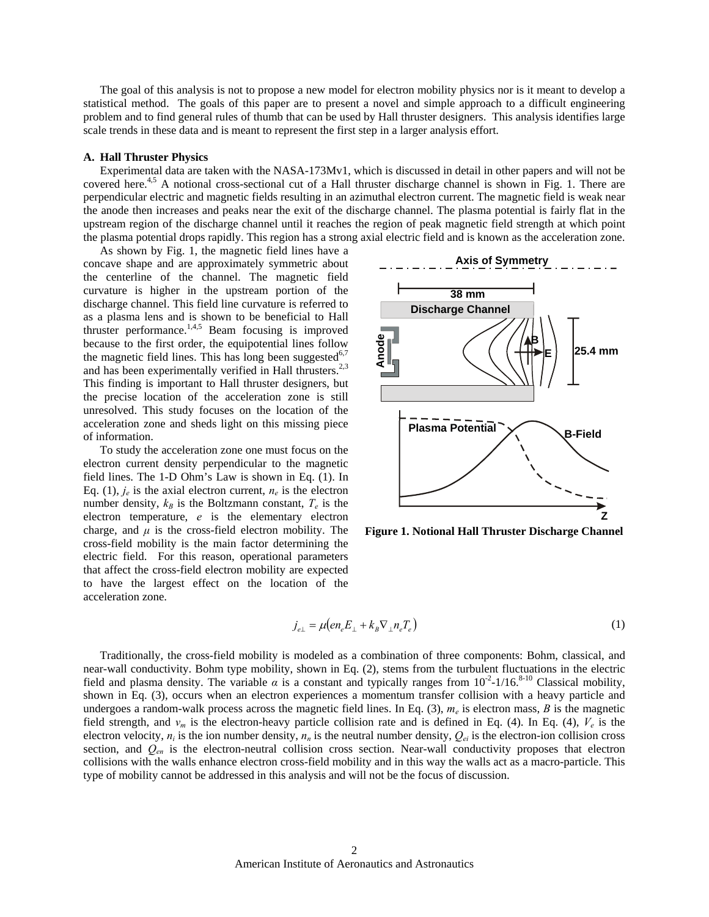The goal of this analysis is not to propose a new model for electron mobility physics nor is it meant to develop a statistical method. The goals of this paper are to present a novel and simple approach to a difficult engineering problem and to find general rules of thumb that can be used by Hall thruster designers. This analysis identifies large scale trends in these data and is meant to represent the first step in a larger analysis effort.

#### **A. Hall Thruster Physics**

Experimental data are taken with the NASA-173Mv1, which is discussed in detail in other papers and will not be covered here.<sup>4,5</sup> A notional cross-sectional cut of a Hall thruster discharge channel is shown in Fig. 1. There are perpendicular electric and magnetic fields resulting in an azimuthal electron current. The magnetic field is weak near the anode then increases and peaks near the exit of the discharge channel. The plasma potential is fairly flat in the upstream region of the discharge channel until it reaches the region of peak magnetic field strength at which point the plasma potential drops rapidly. This region has a strong axial electric field and is known as the acceleration zone.

As shown by Fig. 1, the magnetic field lines have a concave shape and are approximately symmetric about the centerline of the channel. The magnetic field curvature is higher in the upstream portion of the discharge channel. This field line curvature is referred to as a plasma lens and is shown to be beneficial to Hall thruster performance.1,4,5 Beam focusing is improved because to the first order, the equipotential lines follow the magnetic field lines. This has long been suggested $6,7$ and has been experimentally verified in Hall thrusters.<sup>2,3</sup> This finding is important to Hall thruster designers, but the precise location of the acceleration zone is still unresolved. This study focuses on the location of the acceleration zone and sheds light on this missing piece of information.

To study the acceleration zone one must focus on the electron current density perpendicular to the magnetic field lines. The 1-D Ohm's Law is shown in Eq. (1). In Eq. (1),  $j_e$  is the axial electron current,  $n_e$  is the electron number density,  $k_B$  is the Boltzmann constant,  $T_e$  is the electron temperature, *e* is the elementary electron charge, and  $\mu$  is the cross-field electron mobility. The cross-field mobility is the main factor determining the electric field. For this reason, operational parameters that affect the cross-field electron mobility are expected to have the largest effect on the location of the acceleration zone.



**Figure 1. Notional Hall Thruster Discharge Channel** 

$$
j_{e\perp} = \mu \big(e n_e E_\perp + k_B \nabla_\perp n_e T_e\big) \tag{1}
$$

Traditionally, the cross-field mobility is modeled as a combination of three components: Bohm, classical, and near-wall conductivity. Bohm type mobility, shown in Eq. (2), stems from the turbulent fluctuations in the electric field and plasma density. The variable  $\alpha$  is a constant and typically ranges from  $10^{-2}$ -1/16.<sup>8-10</sup> Classical mobility, shown in Eq. (3), occurs when an electron experiences a momentum transfer collision with a heavy particle and undergoes a random-walk process across the magnetic field lines. In Eq.  $(3)$ ,  $m_e$  is electron mass, *B* is the magnetic field strength, and  $v_m$  is the electron-heavy particle collision rate and is defined in Eq. (4). In Eq. (4),  $V_e$  is the electron velocity,  $n_i$  is the ion number density,  $n_n$  is the neutral number density,  $Q_{ei}$  is the electron-ion collision cross section, and *Qen* is the electron-neutral collision cross section. Near-wall conductivity proposes that electron collisions with the walls enhance electron cross-field mobility and in this way the walls act as a macro-particle. This because to the first order, the equipotential lines follow<br>
the magnetic field lines. This has long been suggested of model<br>
that finding is important to Hall thruster designents, but<br>
the precise location of the accelera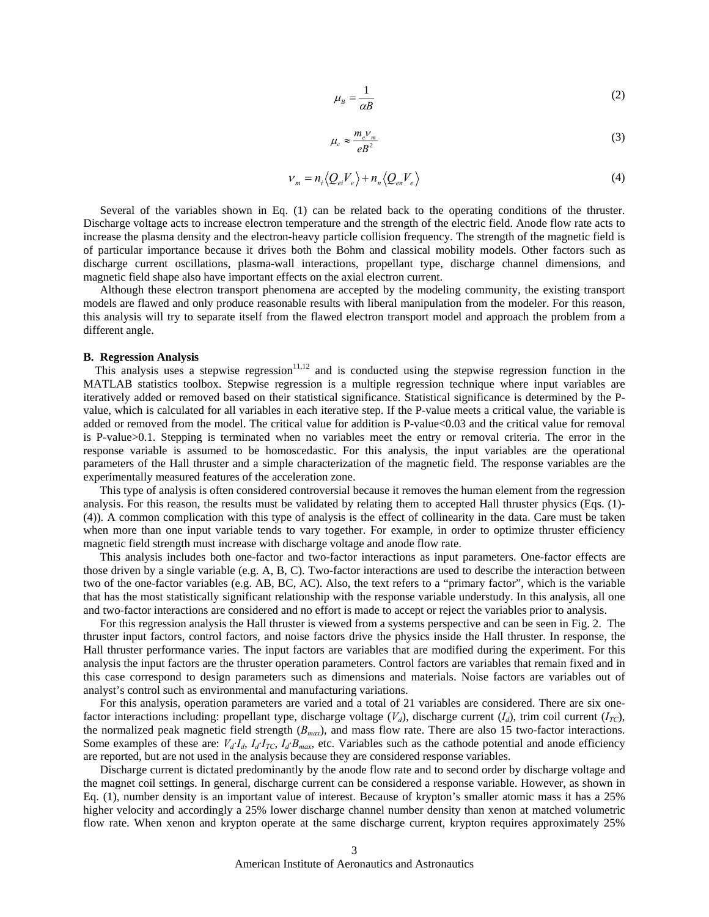$$
\mu_B = \frac{1}{\alpha B} \tag{2}
$$

$$
\mu_c \approx \frac{m_e v_m}{e B^2} \tag{3}
$$

$$
V_m = n_i \langle Q_{ei} V_e \rangle + n_n \langle Q_{en} V_e \rangle \tag{4}
$$

Several of the variables shown in Eq. (1) can be related back to the operating conditions of the thruster. Discharge voltage acts to increase electron temperature and the strength of the electric field. Anode flow rate acts to increase the plasma density and the electron-heavy particle collision frequency. The strength of the magnetic field is of particular importance because it drives both the Bohm and classical mobility models. Other factors such as discharge current oscillations, plasma-wall interactions, propellant type, discharge channel dimensions, and magnetic field shape also have important effects on the axial electron current.

Although these electron transport phenomena are accepted by the modeling community, the existing transport models are flawed and only produce reasonable results with liberal manipulation from the modeler. For this reason, this analysis will try to separate itself from the flawed electron transport model and approach the problem from a different angle.

## **B. Regression Analysis**

This analysis uses a stepwise regression $11,12$  and is conducted using the stepwise regression function in the MATLAB statistics toolbox. Stepwise regression is a multiple regression technique where input variables are iteratively added or removed based on their statistical significance. Statistical significance is determined by the Pvalue, which is calculated for all variables in each iterative step. If the P-value meets a critical value, the variable is added or removed from the model. The critical value for addition is P-value<0.03 and the critical value for removal is P-value>0.1. Stepping is terminated when no variables meet the entry or removal criteria. The error in the response variable is assumed to be homoscedastic. For this analysis, the input variables are the operational parameters of the Hall thruster and a simple characterization of the magnetic field. The response variables are the experimentally measured features of the acceleration zone.

This type of analysis is often considered controversial because it removes the human element from the regression analysis. For this reason, the results must be validated by relating them to accepted Hall thruster physics (Eqs. (1)- (4)). A common complication with this type of analysis is the effect of collinearity in the data. Care must be taken when more than one input variable tends to vary together. For example, in order to optimize thruster efficiency magnetic field strength must increase with discharge voltage and anode flow rate.

This analysis includes both one-factor and two-factor interactions as input parameters. One-factor effects are those driven by a single variable (e.g. A, B, C). Two-factor interactions are used to describe the interaction between two of the one-factor variables (e.g. AB, BC, AC). Also, the text refers to a "primary factor", which is the variable that has the most statistically significant relationship with the response variable understudy. In this analysis, all one and two-factor interactions are considered and no effort is made to accept or reject the variables prior to analysis.

For this regression analysis the Hall thruster is viewed from a systems perspective and can be seen in Fig. 2. The thruster input factors, control factors, and noise factors drive the physics inside the Hall thruster. In response, the Hall thruster performance varies. The input factors are variables that are modified during the experiment. For this analysis the input factors are the thruster operation parameters. Control factors are variables that remain fixed and in this case correspond to design parameters such as dimensions and materials. Noise factors are variables out of analyst's control such as environmental and manufacturing variations.

For this analysis, operation parameters are varied and a total of 21 variables are considered. There are six onefactor interactions including: propellant type, discharge voltage  $(V_d)$ , discharge current  $(I_d)$ , trim coil current  $(I_{TC})$ , the normalized peak magnetic field strength (*Bmax*), and mass flow rate. There are also 15 two-factor interactions. Some examples of these are:  $V_dI_d$ ,  $I_dI_{TC}$ ,  $I_dP_{max}$ , etc. Variables such as the cathode potential and anode efficiency are reported, but are not used in the analysis because they are considered response variables.

Discharge current is dictated predominantly by the anode flow rate and to second order by discharge voltage and the magnet coil settings. In general, discharge current can be considered a response variable. However, as shown in Eq. (1), number density is an important value of interest. Because of krypton's smaller atomic mass it has a 25% higher velocity and accordingly a 25% lower discharge channel number density than xenon at matched volumetric flow rate. When xenon and krypton operate at the same discharge current, krypton requires approximately 25%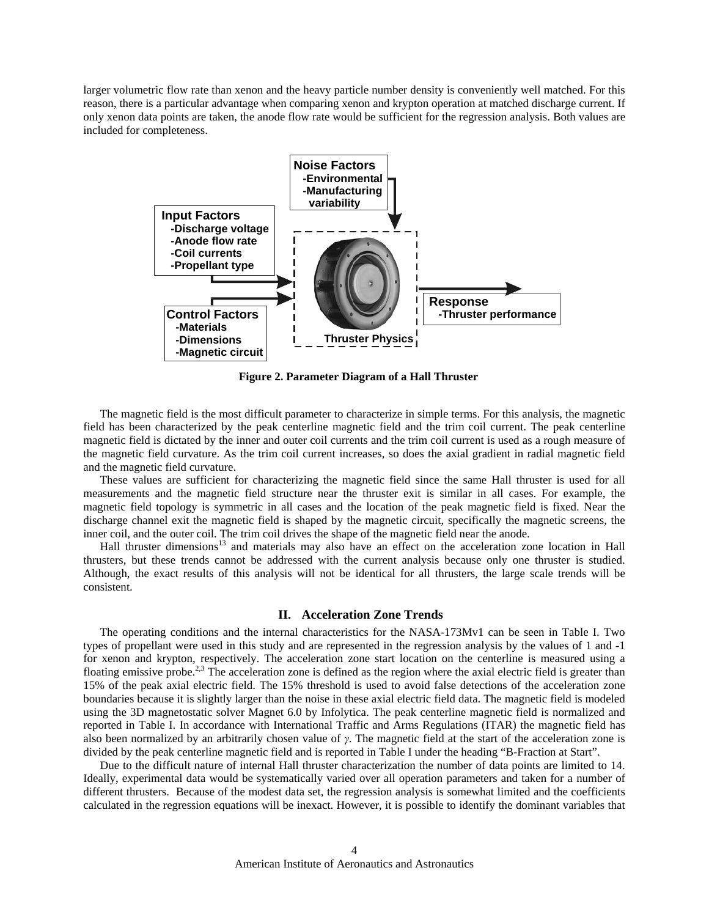larger volumetric flow rate than xenon and the heavy particle number density is conveniently well matched. For this reason, there is a particular advantage when comparing xenon and krypton operation at matched discharge current. If only xenon data points are taken, the anode flow rate would be sufficient for the regression analysis. Both values are included for completeness.



**Figure 2. Parameter Diagram of a Hall Thruster** 

The magnetic field is the most difficult parameter to characterize in simple terms. For this analysis, the magnetic field has been characterized by the peak centerline magnetic field and the trim coil current. The peak centerline magnetic field is dictated by the inner and outer coil currents and the trim coil current is used as a rough measure of the magnetic field curvature. As the trim coil current increases, so does the axial gradient in radial magnetic field and the magnetic field curvature.

These values are sufficient for characterizing the magnetic field since the same Hall thruster is used for all measurements and the magnetic field structure near the thruster exit is similar in all cases. For example, the magnetic field topology is symmetric in all cases and the location of the peak magnetic field is fixed. Near the discharge channel exit the magnetic field is shaped by the magnetic circuit, specifically the magnetic screens, the inner coil, and the outer coil. The trim coil drives the shape of the magnetic field near the anode.

Hall thruster dimensions<sup>13</sup> and materials may also have an effect on the acceleration zone location in Hall thrusters, but these trends cannot be addressed with the current analysis because only one thruster is studied. Although, the exact results of this analysis will not be identical for all thrusters, the large scale trends will be consistent.

# **II. Acceleration Zone Trends**

The operating conditions and the internal characteristics for the NASA-173Mv1 can be seen in Table I. Two types of propellant were used in this study and are represented in the regression analysis by the values of 1 and -1 for xenon and krypton, respectively. The acceleration zone start location on the centerline is measured using a floating emissive probe.<sup>2,3</sup> The acceleration zone is defined as the region where the axial electric field is greater than 15% of the peak axial electric field. The 15% threshold is used to avoid false detections of the acceleration zone boundaries because it is slightly larger than the noise in these axial electric field data. The magnetic field is modeled using the 3D magnetostatic solver Magnet 6.0 by Infolytica. The peak centerline magnetic field is normalized and reported in Table I. In accordance with International Traffic and Arms Regulations (ITAR) the magnetic field has also been normalized by an arbitrarily chosen value of *γ*. The magnetic field at the start of the acceleration zone is divided by the peak centerline magnetic field and is reported in Table I under the heading "B-Fraction at Start".

Due to the difficult nature of internal Hall thruster characterization the number of data points are limited to 14. Ideally, experimental data would be systematically varied over all operation parameters and taken for a number of different thrusters. Because of the modest data set, the regression analysis is somewhat limited and the coefficients calculated in the regression equations will be inexact. However, it is possible to identify the dominant variables that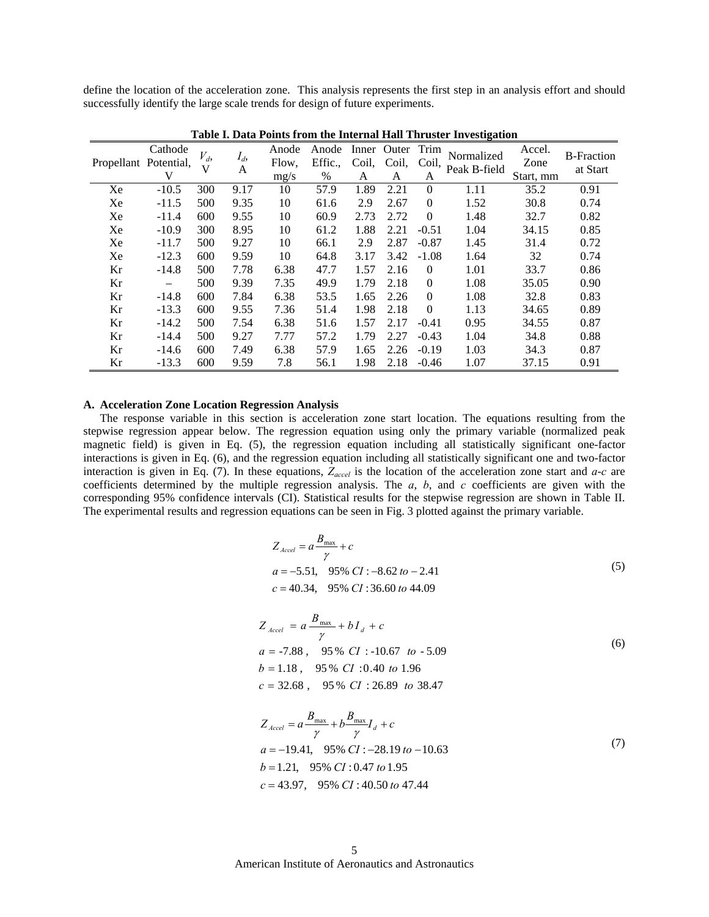define the location of the acceleration zone. This analysis represents the first step in an analysis effort and should successfully identify the large scale trends for design of future experiments.

| Table I. Data I unto II un the Internal Han Thruster Investigation |         |                         |       |       |         |       |            |              |              |           |                   |
|--------------------------------------------------------------------|---------|-------------------------|-------|-------|---------|-------|------------|--------------|--------------|-----------|-------------------|
|                                                                    | Cathode | $V_d$                   |       | Anode | Anode   | Inner | Outer Trim |              | Normalized   | Accel.    | <b>B-Fraction</b> |
| Propellant Potential,                                              |         | $\overline{\mathsf{V}}$ | $I_d$ | Flow, | Effic., | Coil, | Coil,      | Coil,        | Peak B-field | Zone      |                   |
|                                                                    | V       |                         | A     | mg/s  | $\%$    | A     | A          | A            |              | Start, mm | at Start          |
| Xe                                                                 | $-10.5$ | 300                     | 9.17  | 10    | 57.9    | 1.89  | 2.21       | $\Omega$     | 1.11         | 35.2      | 0.91              |
| Xe                                                                 | $-11.5$ | 500                     | 9.35  | 10    | 61.6    | 2.9   | 2.67       | $\mathbf{0}$ | 1.52         | 30.8      | 0.74              |
| Xe                                                                 | $-11.4$ | 600                     | 9.55  | 10    | 60.9    | 2.73  | 2.72       | $\mathbf{0}$ | 1.48         | 32.7      | 0.82              |
| Xe                                                                 | $-10.9$ | 300                     | 8.95  | 10    | 61.2    | 1.88  | 2.21       | $-0.51$      | 1.04         | 34.15     | 0.85              |
| Xe                                                                 | $-11.7$ | 500                     | 9.27  | 10    | 66.1    | 2.9   | 2.87       | $-0.87$      | 1.45         | 31.4      | 0.72              |
| Xe                                                                 | $-12.3$ | 600                     | 9.59  | 10    | 64.8    | 3.17  | 3.42       | $-1.08$      | 1.64         | 32        | 0.74              |
| Kr                                                                 | $-14.8$ | 500                     | 7.78  | 6.38  | 47.7    | 1.57  | 2.16       | $\mathbf{0}$ | 1.01         | 33.7      | 0.86              |
| Kr                                                                 |         | 500                     | 9.39  | 7.35  | 49.9    | 1.79  | 2.18       | $\Omega$     | 1.08         | 35.05     | 0.90              |
| Kr                                                                 | $-14.8$ | 600                     | 7.84  | 6.38  | 53.5    | 1.65  | 2.26       | $\mathbf{0}$ | 1.08         | 32.8      | 0.83              |
| Kr                                                                 | $-13.3$ | 600                     | 9.55  | 7.36  | 51.4    | 1.98  | 2.18       | $\mathbf{0}$ | 1.13         | 34.65     | 0.89              |
| Kr                                                                 | $-14.2$ | 500                     | 7.54  | 6.38  | 51.6    | 1.57  | 2.17       | $-0.41$      | 0.95         | 34.55     | 0.87              |
| Kr                                                                 | $-14.4$ | 500                     | 9.27  | 7.77  | 57.2    | 1.79  | 2.27       | $-0.43$      | 1.04         | 34.8      | 0.88              |
| Kr                                                                 | $-14.6$ | 600                     | 7.49  | 6.38  | 57.9    | 1.65  | 2.26       | $-0.19$      | 1.03         | 34.3      | 0.87              |
| Kr                                                                 | $-13.3$ | 600                     | 9.59  | 7.8   | 56.1    | 1.98  | 2.18       | $-0.46$      | 1.07         | 37.15     | 0.91              |

**Table I. Data Points from the Internal Hall Thruster Investigation** 

#### **A. Acceleration Zone Location Regression Analysis**

The response variable in this section is acceleration zone start location. The equations resulting from the stepwise regression appear below. The regression equation using only the primary variable (normalized peak magnetic field) is given in Eq. (5), the regression equation including all statistically significant one-factor interactions is given in Eq. (6), and the regression equation including all statistically significant one and two-factor interaction is given in Eq. (7). In these equations, *Zaccel* is the location of the acceleration zone start and *a*-*c* are coefficients determined by the multiple regression analysis. The *a*, *b*, and *c* coefficients are given with the corresponding 95% confidence intervals (CI). Statistical results for the stepwise regression are shown in Table II. The experimental results and regression equations can be seen in Fig. 3 plotted against the primary variable.

$$
Z_{\text{Accel}} = a \frac{B_{\text{max}}}{\gamma} + c
$$
  
\n
$$
a = -5.51, \quad 95\% \ CI: -8.62 \ to -2.41
$$
  
\n
$$
c = 40.34, \quad 95\% \ CI: 36.60 \ to \ 44.09
$$
\n(5)

$$
Z_{\text{Accel}} = a \frac{B_{\text{max}}}{\gamma} + b I_d + c
$$
  
\n
$$
a = -7.88, \quad 95\% \text{ CI} : -10.67 \text{ to } -5.09
$$
  
\n
$$
b = 1.18, \quad 95\% \text{ CI} : 0.40 \text{ to } 1.96
$$
  
\n
$$
c = 32.68, \quad 95\% \text{ CI} : 26.89 \text{ to } 38.47
$$
 (6)

$$
Z_{\text{Accel}} = a \frac{B_{\text{max}}}{\gamma} + b \frac{B_{\text{max}}}{\gamma} I_d + c
$$
  
\n
$$
a = -19.41, \quad 95\% \text{ CI} : -28.19 \text{ to } -10.63
$$
  
\n
$$
b = 1.21, \quad 95\% \text{ CI} : 0.47 \text{ to } 1.95
$$
  
\n
$$
c = 43.97, \quad 95\% \text{ CI} : 40.50 \text{ to } 47.44
$$
 (7)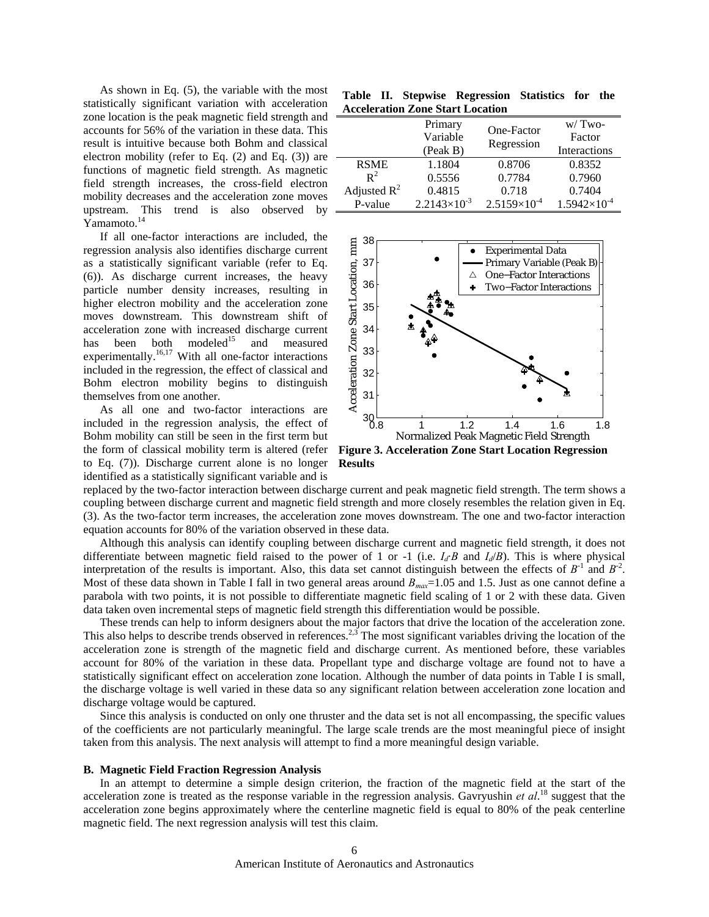As shown in Eq. (5), the variable with the most statistically significant variation with acceleration zone location is the peak magnetic field strength and accounts for 56% of the variation in these data. This result is intuitive because both Bohm and classical electron mobility (refer to Eq. (2) and Eq. (3)) are functions of magnetic field strength. As magnetic field strength increases, the cross-field electron mobility decreases and the acceleration zone moves upstream. This trend is also observed by Yamamoto.<sup>14</sup>

If all one-factor interactions are included, the regression analysis also identifies discharge current as a statistically significant variable (refer to Eq. (6)). As discharge current increases, the heavy particle number density increases, resulting in higher electron mobility and the acceleration zone moves downstream. This downstream shift of acceleration zone with increased discharge current has been both modeled<sup>15</sup> and measured experimentally.<sup>16,17</sup> With all one-factor interactions included in the regression, the effect of classical and Bohm electron mobility begins to distinguish themselves from one another.

As all one and two-factor interactions are included in the regression analysis, the effect of Bohm mobility can still be seen in the first term but the form of classical mobility term is altered (refer to Eq. (7)). Discharge current alone is no longer identified as a statistically significant variable and is

**Table II. Stepwise Regression Statistics for the Acceleration Zone Start Location** 

|                | Primary<br>Variable<br>(Peak B) | One-Factor<br>Regression | $W/TWO-$<br>Factor<br>Interactions |
|----------------|---------------------------------|--------------------------|------------------------------------|
| <b>RSME</b>    | 1.1804                          | 0.8706                   | 0.8352                             |
| $\mathbb{R}^2$ | 0.5556                          | 0.7784                   | 0.7960                             |
| Adjusted $R^2$ | 0.4815                          | 0.718                    | 0.7404                             |
| P-value        | $2.2143\times10^{-3}$           | $2.5159\times10^{-4}$    | $1.5942\times10^{-4}$              |



replaced by the two-factor interaction between discharge current and peak magnetic field strength. The term shows a coupling between discharge current and magnetic field strength and more closely resembles the relation given in Eq. (3). As the two-factor term increases, the acceleration zone moves downstream. The one and two-factor interaction equation accounts for 80% of the variation observed in these data.

Although this analysis can identify coupling between discharge current and magnetic field strength, it does not differentiate between magnetic field raised to the power of 1 or -1 (i.e.  $I_d$ *B* and  $I_d$ */B*). This is where physical interpretation of the results is important. Also, this data set cannot distinguish between the effects of  $B^{-1}$  and  $B^{-2}$ . Most of these data shown in Table I fall in two general areas around  $B_{max}$ =1.05 and 1.5. Just as one cannot define a parabola with two points, it is not possible to differentiate magnetic field scaling of 1 or 2 with these data. Given data taken oven incremental steps of magnetic field strength this differentiation would be possible.

These trends can help to inform designers about the major factors that drive the location of the acceleration zone. This also helps to describe trends observed in references.<sup>2,3</sup> The most significant variables driving the location of the acceleration zone is strength of the magnetic field and discharge current. As mentioned before, these variables account for 80% of the variation in these data. Propellant type and discharge voltage are found not to have a statistically significant effect on acceleration zone location. Although the number of data points in Table I is small, the discharge voltage is well varied in these data so any significant relation between acceleration zone location and discharge voltage would be captured.

Since this analysis is conducted on only one thruster and the data set is not all encompassing, the specific values of the coefficients are not particularly meaningful. The large scale trends are the most meaningful piece of insight taken from this analysis. The next analysis will attempt to find a more meaningful design variable.

# **B. Magnetic Field Fraction Regression Analysis**

In an attempt to determine a simple design criterion, the fraction of the magnetic field at the start of the acceleration zone is treated as the response variable in the regression analysis. Gavryushin *et al.*<sup>18</sup> suggest that the acceleration zone begins approximately where the centerline magnetic field is equal to 80% of the peak centerline magnetic field. The next regression analysis will test this claim.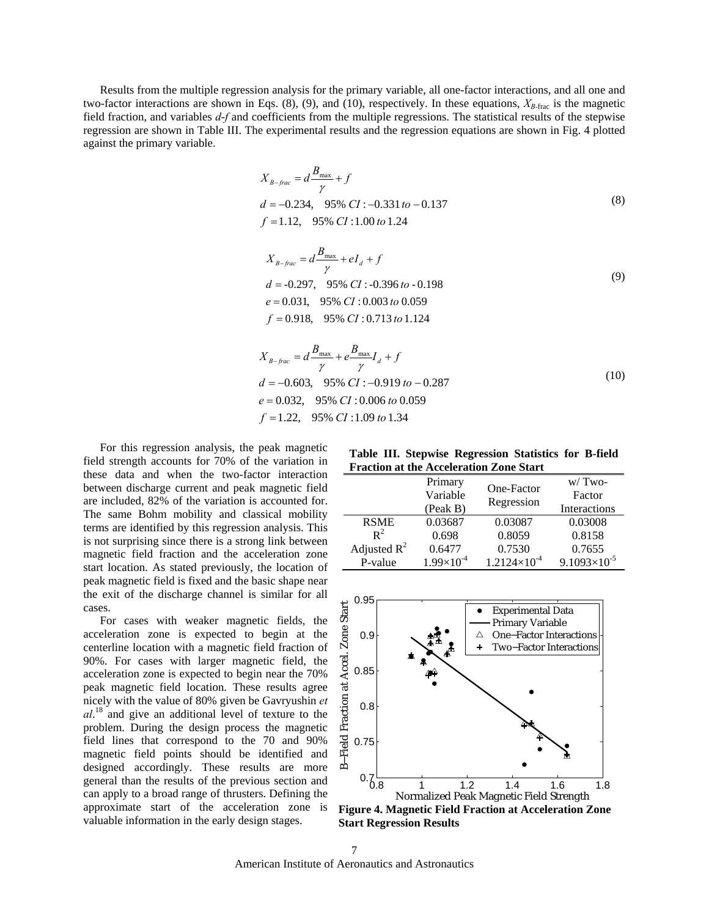Results from the multiple regression analysis for the primary variable, all one-factor interactions, and all one and two-factor interactions are shown in Eqs. (8), (9), and (10), respectively. In these equations, *XB-*frac is the magnetic field fraction, and variables *d*-*f* and coefficients from the multiple regressions. The statistical results of the stepwise regression are shown in Table III. The experimental results and the regression equations are shown in Fig. 4 plotted against the primary variable.

$$
X_{B-frac} = d \frac{B_{\text{max}}}{\gamma} + f
$$
  
\n
$$
d = -0.234, \quad 95\% \ CI: -0.331 \ to -0.137
$$
  
\n
$$
f = 1.12, \quad 95\% \ CI: 1.00 \ to \ 1.24
$$
\n(8)

$$
X_{B-frac} = d \frac{B_{\text{max}}}{\gamma} + eI_d + f
$$
  
\n
$$
d = -0.297, \quad 95\% \ CI : -0.396 \ to \ -0.198
$$
  
\n
$$
e = 0.031, \quad 95\% \ CI : 0.003 \ to \ 0.059
$$
  
\n
$$
f = 0.918, \quad 95\% \ CI : 0.713 \ to \ 1.124
$$
\n(9)

$$
X_{B-frac} = d \frac{B_{\text{max}}}{\gamma} + e \frac{B_{\text{max}}}{\gamma} I_d + f
$$
  
\n
$$
d = -0.603, \quad 95\% \ CI: -0.919 \ to \ -0.287
$$
  
\n
$$
e = 0.032, \quad 95\% \ CI: 0.006 \ to \ 0.059
$$
  
\n
$$
f = 1.22, \quad 95\% \ CI: 1.09 \ to \ 1.34
$$
\n(10)

For this regression analysis, the peak magnetic field strength accounts for 70% of the variation in these data and when the two-factor interaction between discharge current and peak magnetic field are included, 82% of the variation is accounted for. The same Bohm mobility and classical mobility terms are identified by this regression analysis. This is not surprising since there is a strong link between magnetic field fraction and the acceleration zone start location. As stated previously, the location of peak magnetic field is fixed and the basic shape near the exit of the discharge channel is similar for all cases.

For cases with weaker magnetic fields, the acceleration zone is expected to begin at the centerline location with a magnetic field fraction of 90%. For cases with larger magnetic field, the acceleration zone is expected to begin near the 70% peak magnetic field location. These results agree nicely with the value of 80% given be Gavryushin *et al*. 18 and give an additional level of texture to the problem. During the design process the magnetic field lines that correspond to the 70 and 90% magnetic field points should be identified and designed accordingly. These results are more general than the results of the previous section and can apply to a broad range of thrusters. Defining the approximate start of the acceleration zone is valuable information in the early design stages.

**Table III. Stepwise Regression Statistics for B-field Fraction at the Acceleration Zone Start** 

| <b>Fraction at the Acceleration Zone Start</b> |                     |                       |                       |  |  |  |  |
|------------------------------------------------|---------------------|-----------------------|-----------------------|--|--|--|--|
|                                                | Primary             | One-Factor            | W/Tw                  |  |  |  |  |
|                                                | Variable            |                       | Factor                |  |  |  |  |
|                                                | (Peak B)            | Regression            | Interactions          |  |  |  |  |
| <b>RSME</b>                                    | 0.03687             | 0.03087               | 0.03008               |  |  |  |  |
| $\mathbb{R}^2$                                 | 0.698               | 0.8059                | 0.8158                |  |  |  |  |
| Adjusted $R^2$                                 | 0.6477              | 0.7530                | 0.7655                |  |  |  |  |
| P-value                                        | $1.99\times10^{-4}$ | $1.2124\times10^{-4}$ | $9.1093\times10^{-5}$ |  |  |  |  |



**Figure 4. Magnetic Field Fraction at Acceleration Zone Start Regression Results**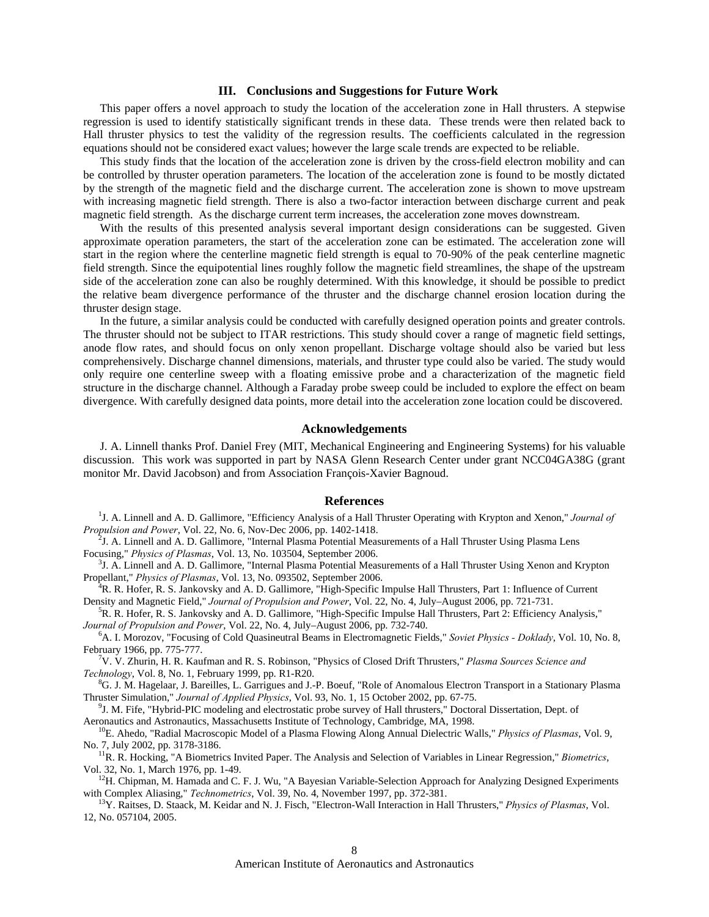## **III. Conclusions and Suggestions for Future Work**

This paper offers a novel approach to study the location of the acceleration zone in Hall thrusters. A stepwise regression is used to identify statistically significant trends in these data. These trends were then related back to Hall thruster physics to test the validity of the regression results. The coefficients calculated in the regression equations should not be considered exact values; however the large scale trends are expected to be reliable.

This study finds that the location of the acceleration zone is driven by the cross-field electron mobility and can be controlled by thruster operation parameters. The location of the acceleration zone is found to be mostly dictated by the strength of the magnetic field and the discharge current. The acceleration zone is shown to move upstream with increasing magnetic field strength. There is also a two-factor interaction between discharge current and peak magnetic field strength. As the discharge current term increases, the acceleration zone moves downstream.

With the results of this presented analysis several important design considerations can be suggested. Given approximate operation parameters, the start of the acceleration zone can be estimated. The acceleration zone will start in the region where the centerline magnetic field strength is equal to 70-90% of the peak centerline magnetic field strength. Since the equipotential lines roughly follow the magnetic field streamlines, the shape of the upstream side of the acceleration zone can also be roughly determined. With this knowledge, it should be possible to predict the relative beam divergence performance of the thruster and the discharge channel erosion location during the thruster design stage.

In the future, a similar analysis could be conducted with carefully designed operation points and greater controls. The thruster should not be subject to ITAR restrictions. This study should cover a range of magnetic field settings, anode flow rates, and should focus on only xenon propellant. Discharge voltage should also be varied but less comprehensively. Discharge channel dimensions, materials, and thruster type could also be varied. The study would only require one centerline sweep with a floating emissive probe and a characterization of the magnetic field structure in the discharge channel. Although a Faraday probe sweep could be included to explore the effect on beam divergence. With carefully designed data points, more detail into the acceleration zone location could be discovered.

# **Acknowledgements**

J. A. Linnell thanks Prof. Daniel Frey (MIT, Mechanical Engineering and Engineering Systems) for his valuable discussion. This work was supported in part by NASA Glenn Research Center under grant NCC04GA38G (grant monitor Mr. David Jacobson) and from Association François-Xavier Bagnoud.

#### **References**

<sup>1</sup>J. A. Linnell and A. D. Gallimore, "Efficiency Analysis of a Hall Thruster Operating with Krypton and Xenon," *Journal of Propulsion and Power*, Vol. 22, No. 6, Nov-Dec 2006, pp. 1402-1418. 2

<sup>2</sup>J. A. Linnell and A. D. Gallimore, "Internal Plasma Potential Measurements of a Hall Thruster Using Plasma Lens Focusing," *Physics of Plasmas*, Vol. 13, No. 103504, September 2006. 3

 ${}^{3}$ J. A. Linnell and A. D. Gallimore, "Internal Plasma Potential Measurements of a Hall Thruster Using Xenon and Krypton Propellant," *Physics of Plasmas*, Vol. 13, No. 093502, September 2006. 4

R. R. Hofer, R. S. Jankovsky and A. D. Gallimore, "High-Specific Impulse Hall Thrusters, Part 1: Influence of Current Density and Magnetic Field," *Journal of Propulsion and Power*, Vol. 22, No. 4, July–August 2006, pp. 721-731. 5

 ${}^{5}R$ . R. Hofer, R. S. Jankovsky and A. D. Gallimore, "High-Specific Impulse Hall Thrusters, Part 2: Efficiency Analysis," *Journal of Propulsion and Power*, Vol. 22, No. 4, July–August 2006, pp. 732-740. 6

A. I. Morozov, "Focusing of Cold Quasineutral Beams in Electromagnetic Fields," *Soviet Physics - Doklady*, Vol. 10, No. 8, February 1966, pp. 775-777.

V. V. Zhurin, H. R. Kaufman and R. S. Robinson, "Physics of Closed Drift Thrusters," *Plasma Sources Science and Technology*, Vol. 8, No. 1, February 1999, pp. R1-R20. 8

G. J. M. Hagelaar, J. Bareilles, L. Garrigues and J.-P. Boeuf, "Role of Anomalous Electron Transport in a Stationary Plasma Thruster Simulation," *Journal of Applied Physics*, Vol. 93, No. 1, 15 October 2002, pp. 67-75. 9

 $<sup>9</sup>$ J. M. Fife, "Hybrid-PIC modeling and electrostatic probe survey of Hall thrusters," Doctoral Dissertation, Dept. of</sup>

Aeronautics and Astronautics, Massachusetts Institute of Technology, Cambridge, MA, 1998.<br><sup>10</sup>E. Ahedo, "Radial Macroscopic Model of a Plasma Flowing Along Annual Dielectric Walls," *Physics of Plasmas*, Vol. 9,

No. 7, July 2002, pp. 3178-3186.<br><sup>11</sup>R. R. Hocking, "A Biometrics Invited Paper. The Analysis and Selection of Variables in Linear Regression," *Biometrics*,

Vol. 32, No. 1, March 1976, pp. 1-49.<br><sup>12</sup>H. Chipman, M. Hamada and C. F. J. Wu, "A Bayesian Variable-Selection Approach for Analyzing Designed Experiments with Complex Aliasing," *Technometrics*, Vol. 39, No. 4, November 1997, pp. 372-381.<br><sup>13</sup>Y. Raitses, D. Staack, M. Keidar and N. J. Fisch, "Electron-Wall Interaction in Hall Thrusters," *Physics of Plasmas*, Vol.

12, No. 057104, 2005.